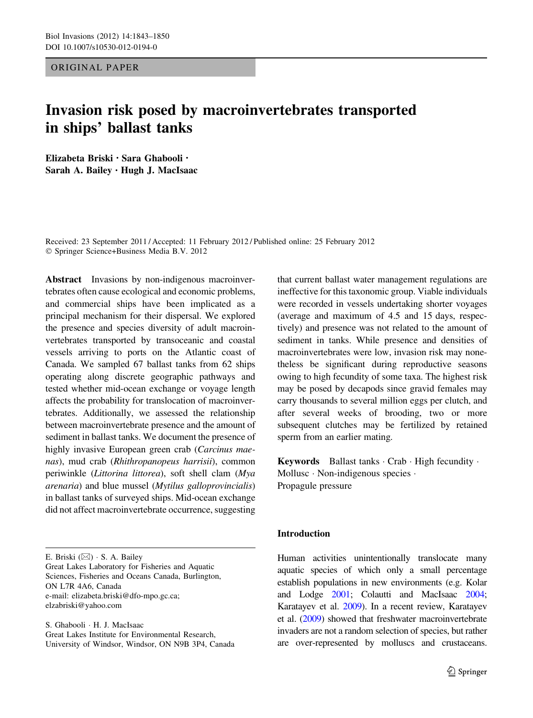ORIGINAL PAPER

# Invasion risk posed by macroinvertebrates transported in ships' ballast tanks

Elizabeta Briski • Sara Ghabooli • Sarah A. Bailey • Hugh J. MacIsaac

Received: 23 September 2011 / Accepted: 11 February 2012 / Published online: 25 February 2012 © Springer Science+Business Media B.V. 2012

Abstract Invasions by non-indigenous macroinvertebrates often cause ecological and economic problems, and commercial ships have been implicated as a principal mechanism for their dispersal. We explored the presence and species diversity of adult macroinvertebrates transported by transoceanic and coastal vessels arriving to ports on the Atlantic coast of Canada. We sampled 67 ballast tanks from 62 ships operating along discrete geographic pathways and tested whether mid-ocean exchange or voyage length affects the probability for translocation of macroinvertebrates. Additionally, we assessed the relationship between macroinvertebrate presence and the amount of sediment in ballast tanks. We document the presence of highly invasive European green crab (Carcinus maenas), mud crab (Rhithropanopeus harrisii), common periwinkle (Littorina littorea), soft shell clam (Mya arenaria) and blue mussel (Mytilus galloprovincialis) in ballast tanks of surveyed ships. Mid-ocean exchange did not affect macroinvertebrate occurrence, suggesting

E. Briski (⊠) · S. A. Bailey Great Lakes Laboratory for Fisheries and Aquatic Sciences, Fisheries and Oceans Canada, Burlington, ON L7R 4A6, Canada e-mail: elizabeta.briski@dfo-mpo.gc.ca; elzabriski@yahoo.com

S. Ghabooli - H. J. MacIsaac Great Lakes Institute for Environmental Research, University of Windsor, Windsor, ON N9B 3P4, Canada that current ballast water management regulations are ineffective for this taxonomic group. Viable individuals were recorded in vessels undertaking shorter voyages (average and maximum of 4.5 and 15 days, respectively) and presence was not related to the amount of sediment in tanks. While presence and densities of macroinvertebrates were low, invasion risk may nonetheless be significant during reproductive seasons owing to high fecundity of some taxa. The highest risk may be posed by decapods since gravid females may carry thousands to several million eggs per clutch, and after several weeks of brooding, two or more subsequent clutches may be fertilized by retained sperm from an earlier mating.

Keywords Ballast tanks · Crab · High fecundity · Mollusc · Non-indigenous species · Propagule pressure

## Introduction

Human activities unintentionally translocate many aquatic species of which only a small percentage establish populations in new environments (e.g. Kolar and Lodge [2001;](#page-6-0) Colautti and MacIsaac [2004](#page-6-0); Karatayev et al. [2009](#page-6-0)). In a recent review, Karatayev et al. [\(2009](#page-6-0)) showed that freshwater macroinvertebrate invaders are not a random selection of species, but rather are over-represented by molluscs and crustaceans.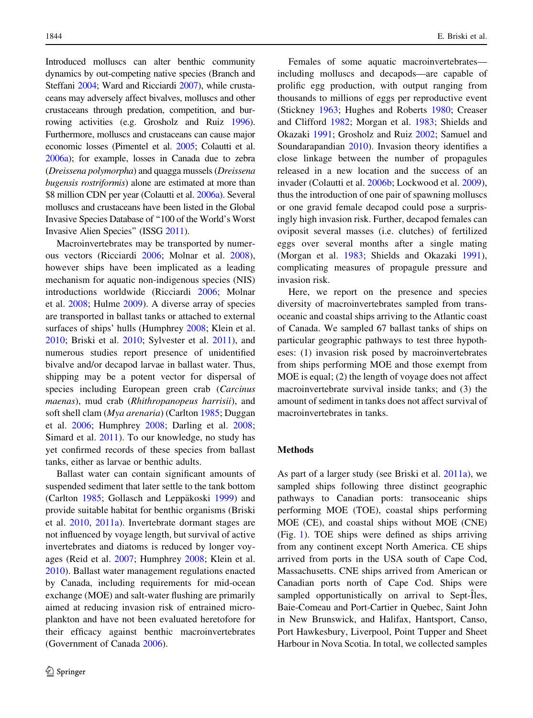Introduced molluscs can alter benthic community dynamics by out-competing native species (Branch and Steffani [2004](#page-6-0); Ward and Ricciardi [2007](#page-7-0)), while crustaceans may adversely affect bivalves, molluscs and other crustaceans through predation, competition, and burrowing activities (e.g. Grosholz and Ruiz [1996\)](#page-6-0). Furthermore, molluscs and crustaceans can cause major economic losses (Pimentel et al. [2005](#page-7-0); Colautti et al. [2006a](#page-6-0)); for example, losses in Canada due to zebra (Dreissena polymorpha) and quagga mussels (Dreissena bugensis rostriformis) alone are estimated at more than \$8 million CDN per year (Colautti et al. [2006a\)](#page-6-0). Several molluscs and crustaceans have been listed in the Global Invasive Species Database of ''100 of the World's Worst Invasive Alien Species'' (ISSG [2011](#page-6-0)).

Macroinvertebrates may be transported by numerous vectors (Ricciardi [2006;](#page-7-0) Molnar et al. [2008](#page-7-0)), however ships have been implicated as a leading mechanism for aquatic non-indigenous species (NIS) introductions worldwide (Ricciardi [2006](#page-7-0); Molnar et al. [2008](#page-7-0); Hulme [2009\)](#page-6-0). A diverse array of species are transported in ballast tanks or attached to external surfaces of ships' hulls (Humphrey [2008](#page-6-0); Klein et al. [2010;](#page-6-0) Briski et al. [2010](#page-6-0); Sylvester et al. [2011](#page-7-0)), and numerous studies report presence of unidentified bivalve and/or decapod larvae in ballast water. Thus, shipping may be a potent vector for dispersal of species including European green crab (Carcinus maenas), mud crab (Rhithropanopeus harrisii), and soft shell clam (Mya arenaria) (Carlton [1985;](#page-6-0) Duggan et al. [2006;](#page-6-0) Humphrey [2008](#page-6-0); Darling et al. [2008](#page-6-0); Simard et al. [2011](#page-7-0)). To our knowledge, no study has yet confirmed records of these species from ballast tanks, either as larvae or benthic adults.

Ballast water can contain significant amounts of suspended sediment that later settle to the tank bottom (Carlton [1985](#page-6-0); Gollasch and Leppäkoski [1999](#page-6-0)) and provide suitable habitat for benthic organisms (Briski et al. [2010,](#page-6-0) [2011a](#page-6-0)). Invertebrate dormant stages are not influenced by voyage length, but survival of active invertebrates and diatoms is reduced by longer voyages (Reid et al. [2007](#page-7-0); Humphrey [2008;](#page-6-0) Klein et al. [2010\)](#page-6-0). Ballast water management regulations enacted by Canada, including requirements for mid-ocean exchange (MOE) and salt-water flushing are primarily aimed at reducing invasion risk of entrained microplankton and have not been evaluated heretofore for their efficacy against benthic macroinvertebrates (Government of Canada [2006\)](#page-6-0).

Females of some aquatic macroinvertebrates including molluscs and decapods—are capable of prolific egg production, with output ranging from thousands to millions of eggs per reproductive event (Stickney [1963](#page-7-0); Hughes and Roberts [1980;](#page-6-0) Creaser and Clifford [1982](#page-6-0); Morgan et al. [1983;](#page-7-0) Shields and Okazaki [1991](#page-7-0); Grosholz and Ruiz [2002;](#page-6-0) Samuel and Soundarapandian [2010](#page-7-0)). Invasion theory identifies a close linkage between the number of propagules released in a new location and the success of an invader (Colautti et al. [2006b](#page-6-0); Lockwood et al. [2009](#page-7-0)), thus the introduction of one pair of spawning molluscs or one gravid female decapod could pose a surprisingly high invasion risk. Further, decapod females can oviposit several masses (i.e. clutches) of fertilized eggs over several months after a single mating (Morgan et al. [1983;](#page-7-0) Shields and Okazaki [1991](#page-7-0)), complicating measures of propagule pressure and invasion risk.

Here, we report on the presence and species diversity of macroinvertebrates sampled from transoceanic and coastal ships arriving to the Atlantic coast of Canada. We sampled 67 ballast tanks of ships on particular geographic pathways to test three hypotheses: (1) invasion risk posed by macroinvertebrates from ships performing MOE and those exempt from MOE is equal; (2) the length of voyage does not affect macroinvertebrate survival inside tanks; and (3) the amount of sediment in tanks does not affect survival of macroinvertebrates in tanks.

#### Methods

As part of a larger study (see Briski et al. [2011a\)](#page-6-0), we sampled ships following three distinct geographic pathways to Canadian ports: transoceanic ships performing MOE (TOE), coastal ships performing MOE (CE), and coastal ships without MOE (CNE) (Fig. [1](#page-2-0)). TOE ships were defined as ships arriving from any continent except North America. CE ships arrived from ports in the USA south of Cape Cod, Massachusetts. CNE ships arrived from American or Canadian ports north of Cape Cod. Ships were sampled opportunistically on arrival to Sept-Iles, Baie-Comeau and Port-Cartier in Quebec, Saint John in New Brunswick, and Halifax, Hantsport, Canso, Port Hawkesbury, Liverpool, Point Tupper and Sheet Harbour in Nova Scotia. In total, we collected samples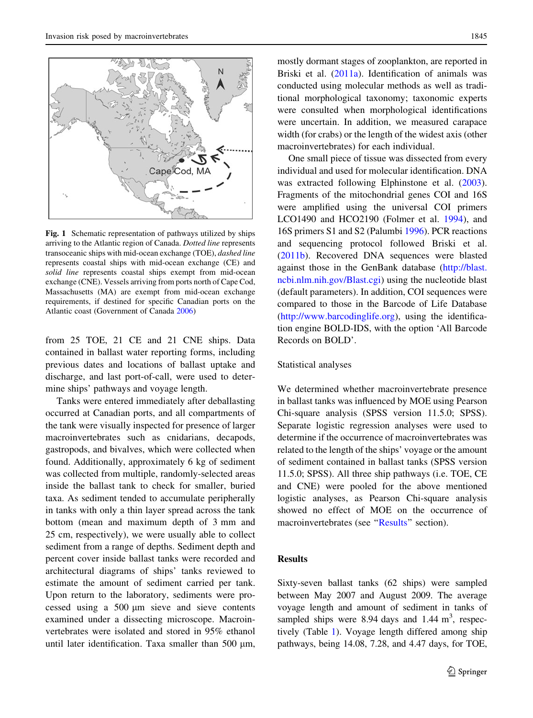<span id="page-2-0"></span>

Fig. 1 Schematic representation of pathways utilized by ships arriving to the Atlantic region of Canada. Dotted line represents transoceanic ships with mid-ocean exchange (TOE), dashed line represents coastal ships with mid-ocean exchange (CE) and solid line represents coastal ships exempt from mid-ocean exchange (CNE). Vessels arriving from ports north of Cape Cod, Massachusetts (MA) are exempt from mid-ocean exchange requirements, if destined for specific Canadian ports on the Atlantic coast (Government of Canada [2006](#page-6-0))

from 25 TOE, 21 CE and 21 CNE ships. Data contained in ballast water reporting forms, including previous dates and locations of ballast uptake and discharge, and last port-of-call, were used to determine ships' pathways and voyage length.

Tanks were entered immediately after deballasting occurred at Canadian ports, and all compartments of the tank were visually inspected for presence of larger macroinvertebrates such as cnidarians, decapods, gastropods, and bivalves, which were collected when found. Additionally, approximately 6 kg of sediment was collected from multiple, randomly-selected areas inside the ballast tank to check for smaller, buried taxa. As sediment tended to accumulate peripherally in tanks with only a thin layer spread across the tank bottom (mean and maximum depth of 3 mm and 25 cm, respectively), we were usually able to collect sediment from a range of depths. Sediment depth and percent cover inside ballast tanks were recorded and architectural diagrams of ships' tanks reviewed to estimate the amount of sediment carried per tank. Upon return to the laboratory, sediments were processed using a 500  $\mu$ m sieve and sieve contents examined under a dissecting microscope. Macroinvertebrates were isolated and stored in 95% ethanol until later identification. Taxa smaller than  $500 \mu m$ , mostly dormant stages of zooplankton, are reported in Briski et al. [\(2011a\)](#page-6-0). Identification of animals was conducted using molecular methods as well as traditional morphological taxonomy; taxonomic experts were consulted when morphological identifications were uncertain. In addition, we measured carapace width (for crabs) or the length of the widest axis (other macroinvertebrates) for each individual.

One small piece of tissue was dissected from every individual and used for molecular identification. DNA was extracted following Elphinstone et al. ([2003](#page-6-0)). Fragments of the mitochondrial genes COI and 16S were amplified using the universal COI primers LCO1490 and HCO2190 (Folmer et al. [1994\)](#page-6-0), and 16S primers S1 and S2 (Palumbi [1996](#page-7-0)). PCR reactions and sequencing protocol followed Briski et al. [\(2011b](#page-6-0)). Recovered DNA sequences were blasted against those in the GenBank database ([http://blast.](http://blast.ncbi.nlm.nih.gov/Blast.cgi) [ncbi.nlm.nih.gov/Blast.cgi](http://blast.ncbi.nlm.nih.gov/Blast.cgi)) using the nucleotide blast (default parameters). In addition, COI sequences were compared to those in the Barcode of Life Database [\(http://www.barcodinglife.org\)](http://www.barcodinglife.org), using the identification engine BOLD-IDS, with the option 'All Barcode Records on BOLD'.

#### Statistical analyses

We determined whether macroinvertebrate presence in ballast tanks was influenced by MOE using Pearson Chi-square analysis (SPSS version 11.5.0; SPSS). Separate logistic regression analyses were used to determine if the occurrence of macroinvertebrates was related to the length of the ships' voyage or the amount of sediment contained in ballast tanks (SPSS version 11.5.0; SPSS). All three ship pathways (i.e. TOE, CE and CNE) were pooled for the above mentioned logistic analyses, as Pearson Chi-square analysis showed no effect of MOE on the occurrence of macroinvertebrates (see "Results" section).

# **Results**

Sixty-seven ballast tanks (62 ships) were sampled between May 2007 and August 2009. The average voyage length and amount of sediment in tanks of sampled ships were 8.94 days and  $1.44 \text{ m}^3$ , respectively (Table [1](#page-3-0)). Voyage length differed among ship pathways, being 14.08, 7.28, and 4.47 days, for TOE,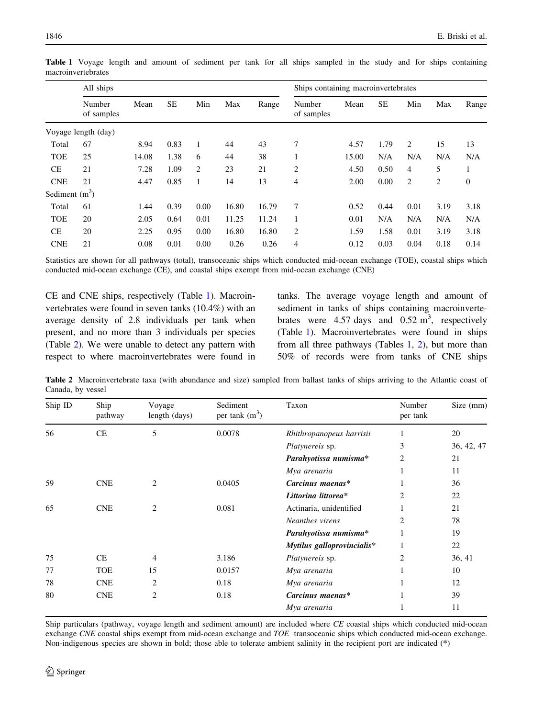|                  | All ships            |       |           |      |       | Ships containing macroinvertebrates |                      |       |           |                |                |          |
|------------------|----------------------|-------|-----------|------|-------|-------------------------------------|----------------------|-------|-----------|----------------|----------------|----------|
|                  | Number<br>of samples | Mean  | <b>SE</b> | Min  | Max   | Range                               | Number<br>of samples | Mean  | <b>SE</b> | Min            | Max            | Range    |
|                  | Voyage length (day)  |       |           |      |       |                                     |                      |       |           |                |                |          |
| Total            | 67                   | 8.94  | 0.83      |      | 44    | 43                                  | 7                    | 4.57  | 1.79      | 2              | 15             | 13       |
| <b>TOE</b>       | 25                   | 14.08 | 1.38      | 6    | 44    | 38                                  |                      | 15.00 | N/A       | N/A            | N/A            | N/A      |
| <b>CE</b>        | 21                   | 7.28  | 1.09      | 2    | 23    | 21                                  | $\overline{2}$       | 4.50  | 0.50      | $\overline{4}$ | 5              | 1        |
| <b>CNE</b>       | 21                   | 4.47  | 0.85      |      | 14    | 13                                  | 4                    | 2.00  | 0.00      | $\overline{2}$ | $\overline{2}$ | $\theta$ |
| Sediment $(m^3)$ |                      |       |           |      |       |                                     |                      |       |           |                |                |          |
| Total            | 61                   | 1.44  | 0.39      | 0.00 | 16.80 | 16.79                               | 7                    | 0.52  | 0.44      | 0.01           | 3.19           | 3.18     |
| <b>TOE</b>       | 20                   | 2.05  | 0.64      | 0.01 | 11.25 | 11.24                               | 1                    | 0.01  | N/A       | N/A            | N/A            | N/A      |
| <b>CE</b>        | 20                   | 2.25  | 0.95      | 0.00 | 16.80 | 16.80                               | 2                    | 1.59  | 1.58      | 0.01           | 3.19           | 3.18     |
| <b>CNE</b>       | 21                   | 0.08  | 0.01      | 0.00 | 0.26  | 0.26                                | 4                    | 0.12  | 0.03      | 0.04           | 0.18           | 0.14     |

<span id="page-3-0"></span>Table 1 Voyage length and amount of sediment per tank for all ships sampled in the study and for ships containing macroinvertebrates

Statistics are shown for all pathways (total), transoceanic ships which conducted mid-ocean exchange (TOE), coastal ships which conducted mid-ocean exchange (CE), and coastal ships exempt from mid-ocean exchange (CNE)

CE and CNE ships, respectively (Table 1). Macroinvertebrates were found in seven tanks (10.4%) with an average density of 2.8 individuals per tank when present, and no more than 3 individuals per species (Table 2). We were unable to detect any pattern with respect to where macroinvertebrates were found in tanks. The average voyage length and amount of sediment in tanks of ships containing macroinvertebrates were  $4.57 \text{ days}$  and  $0.52 \text{ m}^3$ , respectively (Table 1). Macroinvertebrates were found in ships from all three pathways (Tables 1, 2), but more than 50% of records were from tanks of CNE ships

Table 2 Macroinvertebrate taxa (with abundance and size) sampled from ballast tanks of ships arriving to the Atlantic coast of Canada, by vessel

| Ship ID | Ship<br>pathway | Voyage<br>length (days) | Sediment<br>per tank $(m^3)$ | Taxon                      | Number<br>per tank | Size (mm)  |
|---------|-----------------|-------------------------|------------------------------|----------------------------|--------------------|------------|
| 56      | <b>CE</b>       | 5                       | 0.0078                       | Rhithropanopeus harrisii   | 1                  | 20         |
|         |                 |                         |                              | <i>Platynereis</i> sp.     | 3                  | 36, 42, 47 |
|         |                 |                         |                              | Parahyotissa numisma*      | $\overline{2}$     | 21         |
|         |                 |                         |                              | Mya arenaria               | 1                  | 11         |
| 59      | <b>CNE</b>      | 2                       | 0.0405                       | Carcinus maenas*           |                    | 36         |
|         |                 |                         |                              | Littorina littorea*        | 2                  | 22         |
| 65      | <b>CNE</b>      | $\overline{2}$          | 0.081                        | Actinaria, unidentified    |                    | 21         |
|         |                 |                         |                              | Neanthes virens            | $\overline{c}$     | 78         |
|         |                 |                         |                              | Parahyotissa numisma*      | 1                  | 19         |
|         |                 |                         |                              | Mytilus galloprovincialis* |                    | 22         |
| 75      | <b>CE</b>       | 4                       | 3.186                        | Platynereis sp.            | $\overline{c}$     | 36, 41     |
| 77      | <b>TOE</b>      | 15                      | 0.0157                       | Mya arenaria               | 1                  | 10         |
| 78      | <b>CNE</b>      | $\overline{2}$          | 0.18                         | Mya arenaria               | 1                  | 12         |
| 80      | <b>CNE</b>      | 2                       | 0.18                         | Carcinus maenas*           |                    | 39         |
|         |                 |                         |                              | Mya arenaria               |                    | 11         |

Ship particulars (pathway, voyage length and sediment amount) are included where CE coastal ships which conducted mid-ocean exchange CNE coastal ships exempt from mid-ocean exchange and TOE transoceanic ships which conducted mid-ocean exchange. Non-indigenous species are shown in bold; those able to tolerate ambient salinity in the recipient port are indicated (\*)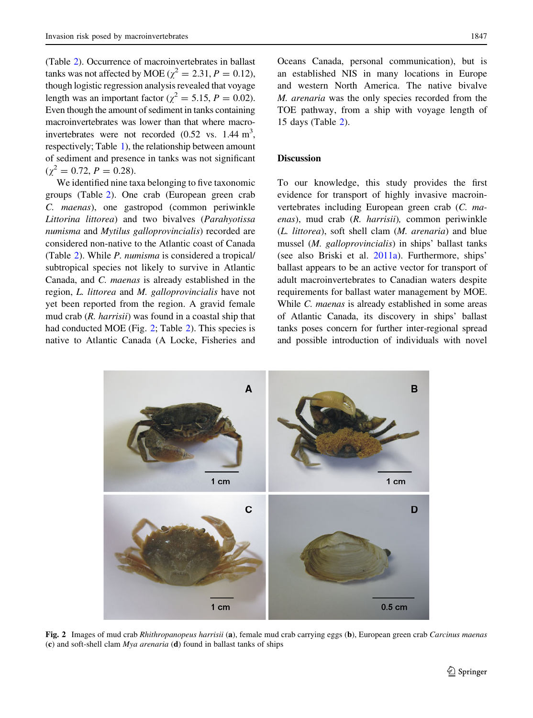(Table [2\)](#page-3-0). Occurrence of macroinvertebrates in ballast tanks was not affected by MOE ( $\chi^2 = 2.31, P = 0.12$ ), though logistic regression analysis revealed that voyage length was an important factor ( $\chi^2 = 5.15$ ,  $P = 0.02$ ). Even though the amount of sediment in tanks containing macroinvertebrates was lower than that where macroinvertebrates were not recorded  $(0.52 \text{ vs. } 1.44 \text{ m}^3)$ , respectively; Table [1](#page-3-0)), the relationship between amount of sediment and presence in tanks was not significant  $(\chi^2 = 0.72, P = 0.28).$ 

We identified nine taxa belonging to five taxonomic groups (Table [2\)](#page-3-0). One crab (European green crab C. maenas), one gastropod (common periwinkle Littorina littorea) and two bivalves (Parahyotissa numisma and Mytilus galloprovincialis) recorded are considered non-native to the Atlantic coast of Canada (Table [2](#page-3-0)). While P. numisma is considered a tropical/ subtropical species not likely to survive in Atlantic Canada, and C. maenas is already established in the region, L. littorea and M. galloprovincialis have not yet been reported from the region. A gravid female mud crab (R. harrisii) was found in a coastal ship that had conducted MOE (Fig. 2; Table [2\)](#page-3-0). This species is native to Atlantic Canada (A Locke, Fisheries and Oceans Canada, personal communication), but is an established NIS in many locations in Europe and western North America. The native bivalve M. arenaria was the only species recorded from the TOE pathway, from a ship with voyage length of 15 days (Table [2\)](#page-3-0).

### **Discussion**

To our knowledge, this study provides the first evidence for transport of highly invasive macroinvertebrates including European green crab (C. maenas), mud crab (R. harrisii), common periwinkle (L. littorea), soft shell clam (M. arenaria) and blue mussel (M. galloprovincialis) in ships' ballast tanks (see also Briski et al. [2011a](#page-6-0)). Furthermore, ships' ballast appears to be an active vector for transport of adult macroinvertebrates to Canadian waters despite requirements for ballast water management by MOE. While *C. maenas* is already established in some areas of Atlantic Canada, its discovery in ships' ballast tanks poses concern for further inter-regional spread and possible introduction of individuals with novel



Fig. 2 Images of mud crab Rhithropanopeus harrisii (a), female mud crab carrying eggs (b), European green crab Carcinus maenas (c) and soft-shell clam  $Mya$  arenaria (d) found in ballast tanks of ships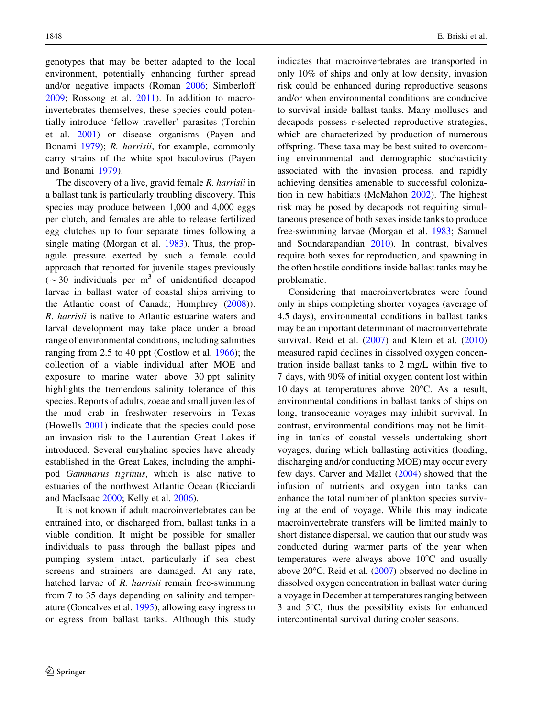genotypes that may be better adapted to the local environment, potentially enhancing further spread and/or negative impacts (Roman [2006;](#page-7-0) Simberloff [2009;](#page-7-0) Rossong et al. [2011\)](#page-7-0). In addition to macroinvertebrates themselves, these species could potentially introduce 'fellow traveller' parasites (Torchin et al. [2001](#page-7-0)) or disease organisms (Payen and Bonami [1979\)](#page-7-0); R. harrisii, for example, commonly carry strains of the white spot baculovirus (Payen and Bonami [1979\)](#page-7-0).

The discovery of a live, gravid female R. harrisii in a ballast tank is particularly troubling discovery. This species may produce between 1,000 and 4,000 eggs per clutch, and females are able to release fertilized egg clutches up to four separate times following a single mating (Morgan et al. [1983\)](#page-7-0). Thus, the propagule pressure exerted by such a female could approach that reported for juvenile stages previously  $(\sim 30$  individuals per m<sup>3</sup> of unidentified decapod larvae in ballast water of coastal ships arriving to the Atlantic coast of Canada; Humphrey [\(2008](#page-6-0))). R. harrisii is native to Atlantic estuarine waters and larval development may take place under a broad range of environmental conditions, including salinities ranging from 2.5 to 40 ppt (Costlow et al. [1966\)](#page-6-0); the collection of a viable individual after MOE and exposure to marine water above 30 ppt salinity highlights the tremendous salinity tolerance of this species. Reports of adults, zoeae and small juveniles of the mud crab in freshwater reservoirs in Texas (Howells [2001](#page-6-0)) indicate that the species could pose an invasion risk to the Laurentian Great Lakes if introduced. Several euryhaline species have already established in the Great Lakes, including the amphipod Gammarus tigrinus, which is also native to estuaries of the northwest Atlantic Ocean (Ricciardi and MacIsaac [2000](#page-7-0); Kelly et al. [2006](#page-6-0)).

It is not known if adult macroinvertebrates can be entrained into, or discharged from, ballast tanks in a viable condition. It might be possible for smaller individuals to pass through the ballast pipes and pumping system intact, particularly if sea chest screens and strainers are damaged. At any rate, hatched larvae of R. harrisii remain free-swimming from 7 to 35 days depending on salinity and temperature (Goncalves et al. [1995](#page-6-0)), allowing easy ingress to or egress from ballast tanks. Although this study indicates that macroinvertebrates are transported in only 10% of ships and only at low density, invasion risk could be enhanced during reproductive seasons and/or when environmental conditions are conducive to survival inside ballast tanks. Many molluscs and decapods possess r-selected reproductive strategies, which are characterized by production of numerous offspring. These taxa may be best suited to overcoming environmental and demographic stochasticity associated with the invasion process, and rapidly achieving densities amenable to successful colonization in new habitiats (McMahon [2002](#page-7-0)). The highest risk may be posed by decapods not requiring simultaneous presence of both sexes inside tanks to produce free-swimming larvae (Morgan et al. [1983](#page-7-0); Samuel and Soundarapandian [2010\)](#page-7-0). In contrast, bivalves require both sexes for reproduction, and spawning in the often hostile conditions inside ballast tanks may be problematic.

Considering that macroinvertebrates were found only in ships completing shorter voyages (average of 4.5 days), environmental conditions in ballast tanks may be an important determinant of macroinvertebrate survival. Reid et al. ([2007\)](#page-7-0) and Klein et al. ([2010\)](#page-6-0) measured rapid declines in dissolved oxygen concentration inside ballast tanks to 2 mg/L within five to 7 days, with 90% of initial oxygen content lost within 10 days at temperatures above  $20^{\circ}$ C. As a result, environmental conditions in ballast tanks of ships on long, transoceanic voyages may inhibit survival. In contrast, environmental conditions may not be limiting in tanks of coastal vessels undertaking short voyages, during which ballasting activities (loading, discharging and/or conducting MOE) may occur every few days. Carver and Mallet ([2004\)](#page-6-0) showed that the infusion of nutrients and oxygen into tanks can enhance the total number of plankton species surviving at the end of voyage. While this may indicate macroinvertebrate transfers will be limited mainly to short distance dispersal, we caution that our study was conducted during warmer parts of the year when temperatures were always above  $10^{\circ}$ C and usually above 20°C. Reid et al. [\(2007\)](#page-7-0) observed no decline in dissolved oxygen concentration in ballast water during a voyage in December at temperatures ranging between 3 and  $5^{\circ}$ C, thus the possibility exists for enhanced intercontinental survival during cooler seasons.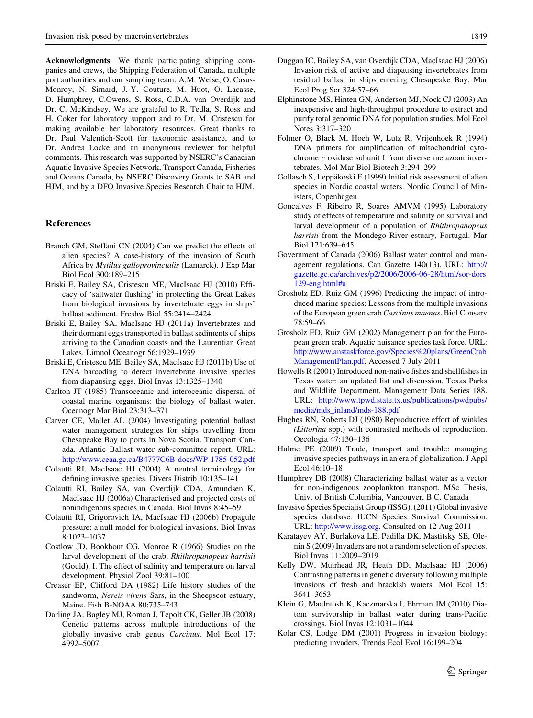<span id="page-6-0"></span>Acknowledgments We thank participating shipping companies and crews, the Shipping Federation of Canada, multiple port authorities and our sampling team: A.M. Weise, O. Casas-Monroy, N. Simard, J.-Y. Couture, M. Huot, O. Lacasse, D. Humphrey, C.Owens, S. Ross, C.D.A. van Overdijk and Dr. C. McKindsey. We are grateful to R. Tedla, S. Ross and H. Coker for laboratory support and to Dr. M. Cristescu for making available her laboratory resources. Great thanks to Dr. Paul Valentich-Scott for taxonomic assistance, and to Dr. Andrea Locke and an anonymous reviewer for helpful comments. This research was supported by NSERC's Canadian Aquatic Invasive Species Network, Transport Canada, Fisheries and Oceans Canada, by NSERC Discovery Grants to SAB and HJM, and by a DFO Invasive Species Research Chair to HJM.

#### References

- Branch GM, Steffani CN (2004) Can we predict the effects of alien species? A case-history of the invasion of South Africa by Mytilus galloprovincialis (Lamarck). J Exp Mar Biol Ecol 300:189–215
- Briski E, Bailey SA, Cristescu ME, MacIsaac HJ (2010) Efficacy of 'saltwater flushing' in protecting the Great Lakes from biological invasions by invertebrate eggs in ships' ballast sediment. Freshw Biol 55:2414–2424
- Briski E, Bailey SA, MacIsaac HJ (2011a) Invertebrates and their dormant eggs transported in ballast sediments of ships arriving to the Canadian coasts and the Laurentian Great Lakes. Limnol Oceanogr 56:1929–1939
- Briski E, Cristescu ME, Bailey SA, MacIsaac HJ (2011b) Use of DNA barcoding to detect invertebrate invasive species from diapausing eggs. Biol Invas 13:1325–1340
- Carlton JT (1985) Transoceanic and interoceanic dispersal of coastal marine organisms: the biology of ballast water. Oceanogr Mar Biol 23:313–371
- Carver CE, Mallet AL (2004) Investigating potential ballast water management strategies for ships travelling from Chesapeake Bay to ports in Nova Scotia. Transport Canada. Atlantic Ballast water sub-committee report. URL: <http://www.ceaa.gc.ca/B4777C6B-docs/WP-1785-052.pdf>
- Colautti RI, MacIsaac HJ (2004) A neutral terminology for defining invasive species. Divers Distrib 10:135–141
- Colautti RI, Bailey SA, van Overdijk CDA, Amundsen K, MacIsaac HJ (2006a) Characterised and projected costs of nonindigenous species in Canada. Biol Invas 8:45–59
- Colautti RI, Grigorovich IA, MacIsaac HJ (2006b) Propagule pressure: a null model for biological invasions. Biol Invas 8:1023–1037
- Costlow JD, Bookhout CG, Monroe R (1966) Studies on the larval development of the crab, Rhithropanopeus harrisii (Gould). I. The effect of salinity and temperature on larval development. Physiol Zool 39:81–100
- Creaser EP, Clifford DA (1982) Life history studies of the sandworm, Nereis virens Sars, in the Sheepscot estuary, Maine. Fish B-NOAA 80:735–743
- Darling JA, Bagley MJ, Roman J, Tepolt CK, Geller JB (2008) Genetic patterns across multiple introductions of the globally invasive crab genus Carcinus. Mol Ecol 17: 4992–5007
- Duggan IC, Bailey SA, van Overdijk CDA, MacIsaac HJ (2006) Invasion risk of active and diapausing invertebrates from residual ballast in ships entering Chesapeake Bay. Mar Ecol Prog Ser 324:57–66
- Elphinstone MS, Hinten GN, Anderson MJ, Nock CJ (2003) An inexpensive and high-throughput procedure to extract and purify total genomic DNA for population studies. Mol Ecol Notes 3:317–320
- Folmer O, Black M, Hoeh W, Lutz R, Vrijenhoek R (1994) DNA primers for amplification of mitochondrial cytochrome c oxidase subunit I from diverse metazoan invertebrates. Mol Mar Biol Biotech 3:294–299
- Gollasch S, Leppäkoski E (1999) Initial risk assessment of alien species in Nordic coastal waters. Nordic Council of Ministers, Copenhagen
- Goncalves F, Ribeiro R, Soares AMVM (1995) Laboratory study of effects of temperature and salinity on survival and larval development of a population of Rhithropanopeus harrisii from the Mondego River estuary, Portugal. Mar Biol 121:639–645
- Government of Canada (2006) Ballast water control and management regulations. Can Gazette 140(13). URL: [http://](http://gazette.gc.ca/archives/p2/2006/2006-06-28/html/sor-dors129-eng.html#a) [gazette.gc.ca/archives/p2/2006/2006-06-28/html/sor-dors](http://gazette.gc.ca/archives/p2/2006/2006-06-28/html/sor-dors129-eng.html#a) [129-eng.html#a](http://gazette.gc.ca/archives/p2/2006/2006-06-28/html/sor-dors129-eng.html#a)
- Grosholz ED, Ruiz GM (1996) Predicting the impact of introduced marine species: Lessons from the multiple invasions of the European green crab Carcinus maenas. Biol Conserv 78:59–66
- Grosholz ED, Ruiz GM (2002) Management plan for the European green crab. Aquatic nuisance species task force. URL: [http://www.anstaskforce.gov/Species%20plans/GreenCrab](http://www.anstaskforce.gov/Species%20plans/GreenCrabManagementPlan.pdf) [ManagementPlan.pdf](http://www.anstaskforce.gov/Species%20plans/GreenCrabManagementPlan.pdf). Accessed 7 July 2011
- Howells R (2001) Introduced non-native fishes and shellfishes in Texas water: an updated list and discussion. Texas Parks and Wildlife Department, Management Data Series 188. URL: [http://www.tpwd.state.tx.us/publications/pwdpubs/](http://www.tpwd.state.tx.us/publications/pwdpubs/media/mds_inland/mds-188.pdf) [media/mds\\_inland/mds-188.pdf](http://www.tpwd.state.tx.us/publications/pwdpubs/media/mds_inland/mds-188.pdf)
- Hughes RN, Roberts DJ (1980) Reproductive effort of winkles (Littorina spp.) with contrasted methods of reproduction. Oecologia 47:130–136
- Hulme PE (2009) Trade, transport and trouble: managing invasive species pathways in an era of globalization. J Appl Ecol 46:10–18
- Humphrey DB (2008) Characterizing ballast water as a vector for non-indigenous zooplankton transport. MSc Thesis, Univ. of British Columbia, Vancouver, B.C. Canada
- Invasive Species Specialist Group (ISSG). (2011) Global invasive species database. IUCN Species Survival Commission. URL: [http://www.issg.org.](http://www.issg.org) Consulted on 12 Aug 2011
- Karatayev AY, Burlakova LE, Padilla DK, Mastitsky SE, Olenin S (2009) Invaders are not a random selection of species. Biol Invas 11:2009–2019
- Kelly DW, Muirhead JR, Heath DD, MacIsaac HJ (2006) Contrasting patterns in genetic diversity following multiple invasions of fresh and brackish waters. Mol Ecol 15: 3641–3653
- Klein G, MacIntosh K, Kaczmarska I, Ehrman JM (2010) Diatom survivorship in ballast water during trans-Pacific crossings. Biol Invas 12:1031–1044
- Kolar CS, Lodge DM (2001) Progress in invasion biology: predicting invaders. Trends Ecol Evol 16:199–204